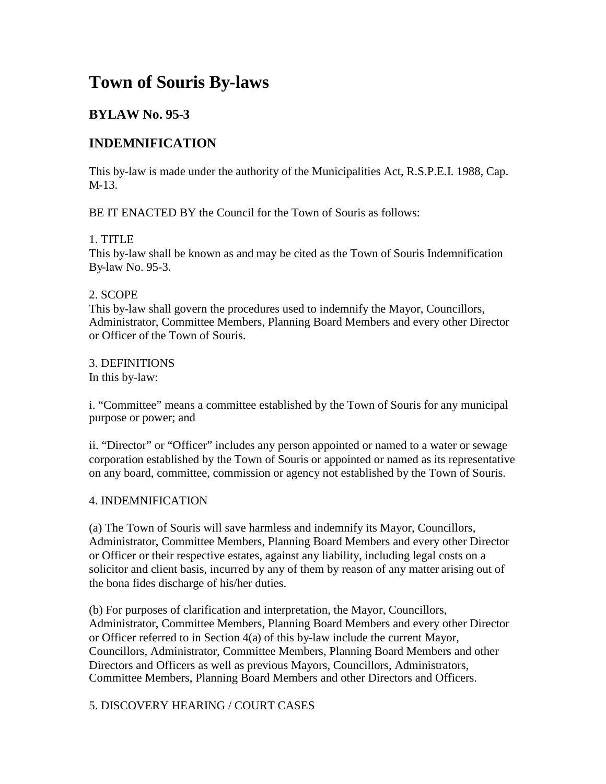# **Town of Souris By-laws**

# **BYLAW No. 95-3**

## **INDEMNIFICATION**

This by-law is made under the authority of the Municipalities Act, R.S.P.E.I. 1988, Cap. M-13.

BE IT ENACTED BY the Council for the Town of Souris as follows:

## 1. TITLE

This by-law shall be known as and may be cited as the Town of Souris Indemnification By-law No. 95-3.

#### 2. SCOPE

This by-law shall govern the procedures used to indemnify the Mayor, Councillors, Administrator, Committee Members, Planning Board Members and every other Director or Officer of the Town of Souris.

3. DEFINITIONS In this by-law:

i. "Committee" means a committee established by the Town of Souris for any municipal purpose or power; and

ii. "Director" or "Officer" includes any person appointed or named to a water or sewage corporation established by the Town of Souris or appointed or named as its representative on any board, committee, commission or agency not established by the Town of Souris.

#### 4. INDEMNIFICATION

(a) The Town of Souris will save harmless and indemnify its Mayor, Councillors, Administrator, Committee Members, Planning Board Members and every other Director or Officer or their respective estates, against any liability, including legal costs on a solicitor and client basis, incurred by any of them by reason of any matter arising out of the bona fides discharge of his/her duties.

(b) For purposes of clarification and interpretation, the Mayor, Councillors, Administrator, Committee Members, Planning Board Members and every other Director or Officer referred to in Section 4(a) of this by-law include the current Mayor, Councillors, Administrator, Committee Members, Planning Board Members and other Directors and Officers as well as previous Mayors, Councillors, Administrators, Committee Members, Planning Board Members and other Directors and Officers.

## 5. DISCOVERY HEARING / COURT CASES